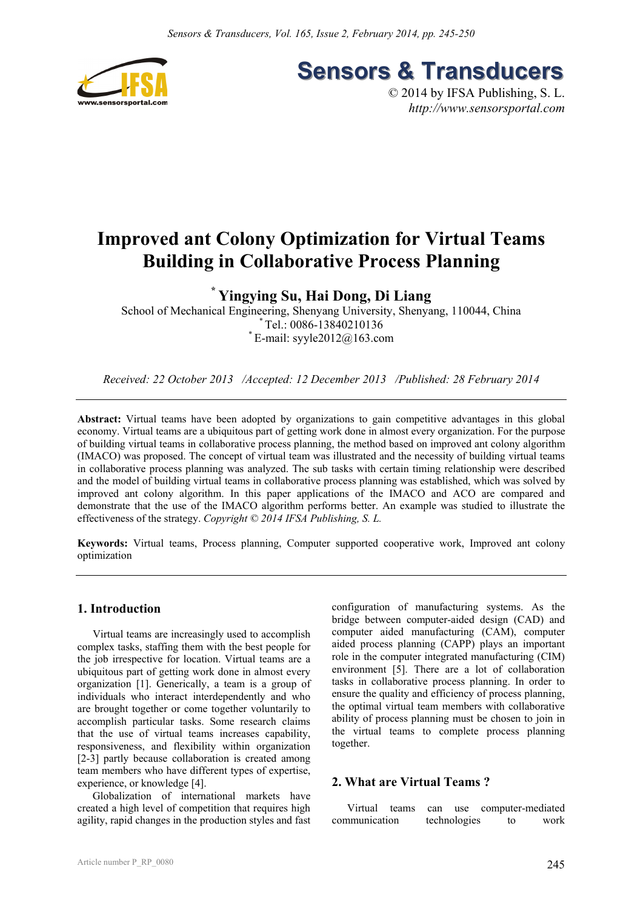

**Sensors & Transducers** 

© 2014 by IFSA Publishing, S. L. *http://www.sensorsportal.com*

# **Improved ant Colony Optimization for Virtual Teams Building in Collaborative Process Planning**

# **\* Yingying Su, Hai Dong, Di Liang**

School of Mechanical Engineering, Shenyang University, Shenyang, 110044, China \* Tel.: 0086-13840210136  $E$ -mail: syyle2012@163.com

*Received: 22 October 2013 /Accepted: 12 December 2013 /Published: 28 February 2014* 

Abstract: Virtual teams have been adopted by organizations to gain competitive advantages in this global economy. Virtual teams are a ubiquitous part of getting work done in almost every organization. For the purpose of building virtual teams in collaborative process planning, the method based on improved ant colony algorithm (IMACO) was proposed. The concept of virtual team was illustrated and the necessity of building virtual teams in collaborative process planning was analyzed. The sub tasks with certain timing relationship were described and the model of building virtual teams in collaborative process planning was established, which was solved by improved ant colony algorithm. In this paper applications of the IMACO and ACO are compared and demonstrate that the use of the IMACO algorithm performs better. An example was studied to illustrate the effectiveness of the strategy. *Copyright © 2014 IFSA Publishing, S. L.*

**Keywords:** Virtual teams, Process planning, Computer supported cooperative work, Improved ant colony optimization

# **1. Introduction**

Virtual teams are increasingly used to accomplish complex tasks, staffing them with the best people for the job irrespective for location. Virtual teams are a ubiquitous part of getting work done in almost every organization [1]. Generically, a team is a group of individuals who interact interdependently and who are brought together or come together voluntarily to accomplish particular tasks. Some research claims that the use of virtual teams increases capability, responsiveness, and flexibility within organization [2-3] partly because collaboration is created among team members who have different types of expertise, experience, or knowledge [4].

Globalization of international markets have created a high level of competition that requires high agility, rapid changes in the production styles and fast configuration of manufacturing systems. As the bridge between computer-aided design (CAD) and computer aided manufacturing (CAM), computer aided process planning (CAPP) plays an important role in the computer integrated manufacturing (CIM) environment [5]. There are a lot of collaboration tasks in collaborative process planning. In order to ensure the quality and efficiency of process planning, the optimal virtual team members with collaborative ability of process planning must be chosen to join in the virtual teams to complete process planning together.

#### **2. What are Virtual Teams ?**

Virtual teams can use computer-mediated communication technologies to work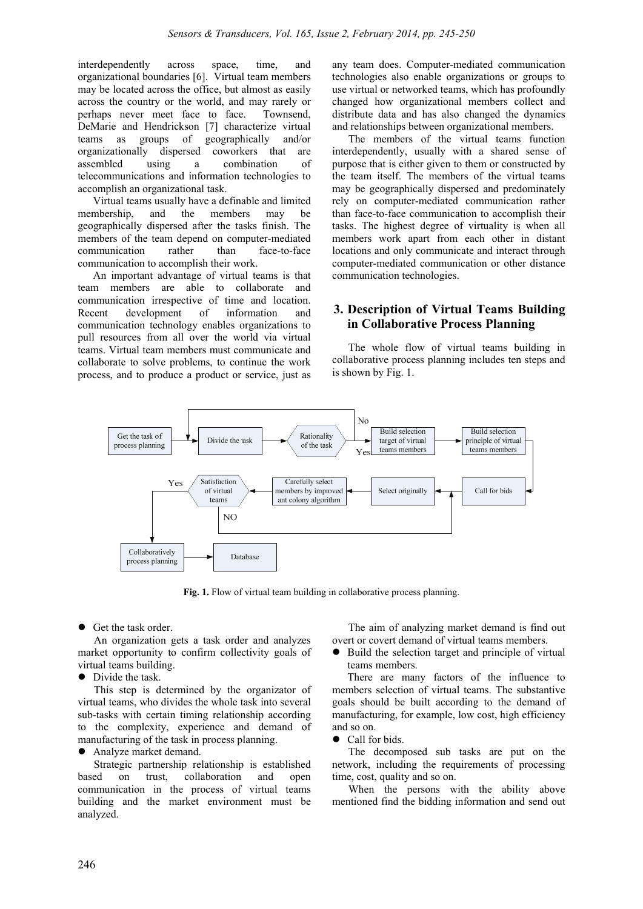interdependently across space, time, and organizational boundaries [6]. Virtual team members may be located across the office, but almost as easily across the country or the world, and may rarely or perhaps never meet face to face. Townsend, DeMarie and Hendrickson [7] characterize virtual teams as groups of geographically and/or organizationally dispersed coworkers that are assembled using a combination of telecommunications and information technologies to accomplish an organizational task.

Virtual teams usually have a definable and limited membership, and the members may be geographically dispersed after the tasks finish. The members of the team depend on computer-mediated communication rather than face-to-face communication to accomplish their work.

An important advantage of virtual teams is that team members are able to collaborate and communication irrespective of time and location. Recent development of information and communication technology enables organizations to pull resources from all over the world via virtual teams. Virtual team members must communicate and collaborate to solve problems, to continue the work process, and to produce a product or service, just as any team does. Computer-mediated communication technologies also enable organizations or groups to use virtual or networked teams, which has profoundly changed how organizational members collect and distribute data and has also changed the dynamics and relationships between organizational members.

The members of the virtual teams function interdependently, usually with a shared sense of purpose that is either given to them or constructed by the team itself. The members of the virtual teams may be geographically dispersed and predominately rely on computer-mediated communication rather than face-to-face communication to accomplish their tasks. The highest degree of virtuality is when all members work apart from each other in distant locations and only communicate and interact through computer-mediated communication or other distance communication technologies.

# **3. Description of Virtual Teams Building in Collaborative Process Planning**

The whole flow of virtual teams building in collaborative process planning includes ten steps and is shown by Fig. 1.



**Fig. 1.** Flow of virtual team building in collaborative process planning.

Get the task order.

An organization gets a task order and analyzes market opportunity to confirm collectivity goals of virtual teams building.

Divide the task.

This step is determined by the organizator of virtual teams, who divides the whole task into several sub-tasks with certain timing relationship according to the complexity, experience and demand of manufacturing of the task in process planning.

#### Analyze market demand.

Strategic partnership relationship is established based on trust, collaboration and open communication in the process of virtual teams building and the market environment must be analyzed.

The aim of analyzing market demand is find out overt or covert demand of virtual teams members.

• Build the selection target and principle of virtual teams members.

There are many factors of the influence to members selection of virtual teams. The substantive goals should be built according to the demand of manufacturing, for example, low cost, high efficiency and so on.

Call for bids.

The decomposed sub tasks are put on the network, including the requirements of processing time, cost, quality and so on.

When the persons with the ability above mentioned find the bidding information and send out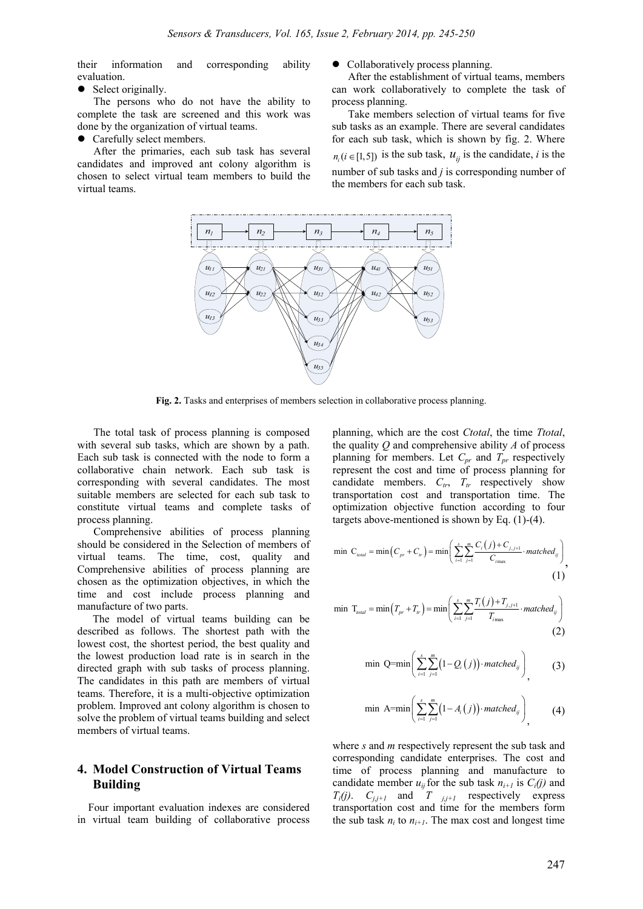their information and corresponding ability evaluation.

• Select originally.

The persons who do not have the ability to complete the task are screened and this work was done by the organization of virtual teams.

• Carefully select members.

After the primaries, each sub task has several candidates and improved ant colony algorithm is chosen to select virtual team members to build the virtual teams.

Collaboratively process planning.

After the establishment of virtual teams, members can work collaboratively to complete the task of process planning.

Take members selection of virtual teams for five sub tasks as an example. There are several candidates for each sub task, which is shown by fig. 2. Where  $n_i$  ( $i \in [1,5]$ ) is the sub task,  $u_{ii}$  is the candidate, *i* is the number of sub tasks and *j* is corresponding number of the members for each sub task.



**Fig. 2.** Tasks and enterprises of members selection in collaborative process planning.

The total task of process planning is composed with several sub tasks, which are shown by a path. Each sub task is connected with the node to form a collaborative chain network. Each sub task is corresponding with several candidates. The most suitable members are selected for each sub task to constitute virtual teams and complete tasks of process planning.

Comprehensive abilities of process planning should be considered in the Selection of members of virtual teams. The time, cost, quality and Comprehensive abilities of process planning are chosen as the optimization objectives, in which the time and cost include process planning and manufacture of two parts.

The model of virtual teams building can be described as follows. The shortest path with the lowest cost, the shortest period, the best quality and the lowest production load rate is in search in the directed graph with sub tasks of process planning. The candidates in this path are members of virtual teams. Therefore, it is a multi-objective optimization problem. Improved ant colony algorithm is chosen to solve the problem of virtual teams building and select members of virtual teams.

#### **4. Model Construction of Virtual Teams Building**

Four important evaluation indexes are considered in virtual team building of collaborative process planning, which are the cost *Ctotal*, the time *Ttotal*, the quality *Q* and comprehensive ability *A* of process planning for members. Let *Cpr* and *Tpr* respectively represent the cost and time of process planning for candidate members.  $C_{tr}$ ,  $T_{tr}$  respectively show transportation cost and transportation time. The optimization objective function according to four targets above-mentioned is shown by Eq. (1)-(4).

$$
\min \ C_{\text{total}} = \min \left( C_{\text{pr}} + C_{\text{tr}} \right) = \min \left( \sum_{i=1}^{s} \sum_{j=1}^{m} \frac{C_i \left( j \right) + C_{j,j+1}}{C_{\text{max}}} \cdot \text{matched}_{ij} \right),\tag{1}
$$

$$
\min \ T_{\text{total}} = \min \left( T_{\text{pr}} + T_{\text{pr}} \right) = \min \left( \sum_{i=1}^{s} \sum_{j=1}^{m} \frac{T_i(j) + T_{j,j+1}}{T_{\text{max}}} \cdot \text{matched}_{ij} \right) \tag{2}
$$

$$
\min \ Q = \min \left( \sum_{i=1}^{s} \sum_{j=1}^{m} \left( 1 - Q_i(j) \right) \cdot \text{matched}_{ij} \right), \tag{3}
$$

$$
\min \ \mathbf{A} = \min \left( \sum_{i=1}^{s} \sum_{j=1}^{m} \left( 1 - A_i \left( j \right) \right) \cdot \text{matched}_{ij} \right), \tag{4}
$$

where *s* and *m* respectively represent the sub task and corresponding candidate enterprises. The cost and time of process planning and manufacture to candidate member  $u_{ij}$  for the sub task  $n_{i+1}$  is  $C_i(j)$  and  $T_i(j)$ .  $C_{j,j+1}$  and  $T_{j,j+1}$  respectively express transportation cost and time for the members form the sub task  $n_i$  to  $n_{i+1}$ . The max cost and longest time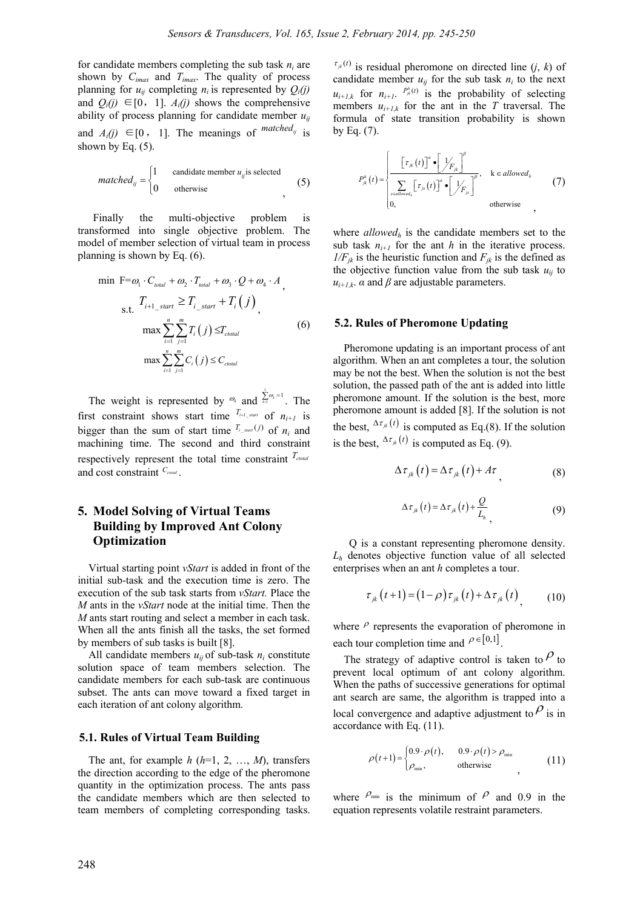for candidate members completing the sub task  $n_i$  are shown by *Cimax* and *Timax*. The quality of process planning for  $u_{ij}$  completing  $n_i$  is represented by  $Q_i(i)$ and  $Q_i(i) \in [0, 1]$ .  $A_i(i)$  shows the comprehensive ability of process planning for candidate member  $u_{ii}$ and  $A_i(j) \in [0, 1]$ . The meanings of  $\int^{matched_{ij}}$  is shown by Eq.  $(5)$ .

$$
matched_{ij} = \begin{cases} 1 & \text{candidate member } u_{ij} \text{ is selected} \\ 0 & \text{otherwise} \end{cases} \tag{5}
$$

Finally the multi-objective problem is transformed into single objective problem. The model of member selection of virtual team in process planning is shown by Eq. (6).

$$
\min \mathbf{F} = \omega_1 \cdot C_{\text{total}} + \omega_2 \cdot T_{\text{total}} + \omega_3 \cdot Q + \omega_4 \cdot A
$$
\n
$$
\sum_{\text{S.t.}} T_{i+1\_start} \ge T_{i\_start} + T_i(j)
$$
\n
$$
\max \sum_{i=1}^{n} \sum_{j=1}^{m} T_i(j) \le T_{\text{total}}
$$
\n
$$
\max \sum_{i=1}^{n} \sum_{j=1}^{m} C_i(j) \le C_{\text{total}}
$$
\n(6)

The weight is represented by  $\omega_k$  and  $\sum_{k=1}^{k}$  $\sum_{k=1}^{\infty} \omega_k = 1$ . The first constraint shows start time  $T_{i+1}$  start of  $n_{i+1}$  is bigger than the sum of start time  $T_{i\_start}(j)$  of  $n_i$  and machining time. The second and third constraint respectively represent the total time constraint  $T_{\text{total}}$ and cost constraint  $C_{\text{total}}$ .

# **5. Model Solving of Virtual Teams Building by Improved Ant Colony Optimization**

Virtual starting point *vStart* is added in front of the initial sub-task and the execution time is zero. The execution of the sub task starts from *vStart.* Place the *M* ants in the *vStart* node at the initial time. Then the *M* ants start routing and select a member in each task. When all the ants finish all the tasks, the set formed by members of sub tasks is built [8].

All candidate members  $u_{ij}$  of sub-task  $n_i$  constitute solution space of team members selection. The candidate members for each sub-task are continuous subset. The ants can move toward a fixed target in each iteration of ant colony algorithm.

#### **5.1. Rules of Virtual Team Building**

The ant, for example  $h$  ( $h=1, 2, ..., M$ ), transfers the direction according to the edge of the pheromone quantity in the optimization process. The ants pass the candidate members which are then selected to team members of completing corresponding tasks.

 $\tau_{jk}(t)$  is residual pheromone on directed line (*j*, *k*) of candidate member  $u_{ij}$  for the sub task  $n_i$  to the next  $u_{i+l,k}$  for  $n_{i+l}$ .  $P_{ik}^{h}(t)$  is the probability of selecting members  $u_{i+1,k}$  for the ant in the *T* traversal. The formula of state transition probability is shown by Eq. (7).

$$
P_{jk}^{h}(t) = \begin{cases} \frac{\left[\tau_{jk}(t)\right]^{a} \cdot \left[\mathcal{Y}_{F_{jk}}\right]^{b}}{\sum_{\text{seudowed}_{h}} \left[\tau_{js}(t)\right]^{a} \cdot \left[\mathcal{Y}_{F_{jk}}\right]^{b}}, & k \in allowed_{h} \\ 0, & \text{otherwise} \end{cases}
$$
(7)

where *allowedh* is the candidate members set to the sub task  $n_{i+1}$  for the ant *h* in the iterative process.  $1/F_{jk}$  is the heuristic function and  $F_{jk}$  is the defined as the objective function value from the sub task  $u_{ii}$  to  $u_{i+1,k}$ .  $\alpha$  and  $\beta$  are adjustable parameters.

#### **5.2. Rules of Pheromone Updating**

Pheromone updating is an important process of ant algorithm. When an ant completes a tour, the solution may be not the best. When the solution is not the best solution, the passed path of the ant is added into little pheromone amount. If the solution is the best, more pheromone amount is added [8]. If the solution is not the best,  $\Delta \tau_{ik}(t)$  is computed as Eq.(8). If the solution is the best,  $\Delta \tau_{jk} (t)$  is computed as Eq. (9).

$$
\Delta \tau_{jk}(t) = \Delta \tau_{jk}(t) + A\tau \tag{8}
$$

$$
\Delta \tau_{jk}(t) = \Delta \tau_{jk}(t) + \frac{Q}{L_h}
$$
\n(9)

Q is a constant representing pheromone density. *Lh* denotes objective function value of all selected enterprises when an ant *h* completes a tour.

$$
\tau_{jk}\left(t+1\right) = \left(1-\rho\right)\tau_{jk}\left(t\right) + \Delta\tau_{jk}\left(t\right) \tag{10}
$$

where  $\rho$  represents the evaporation of pheromone in each tour completion time and  $\rho \in [0,1]$ .

The strategy of adaptive control is taken to  $\beta$  to prevent local optimum of ant colony algorithm. When the paths of successive generations for optimal ant search are same, the algorithm is trapped into a local convergence and adaptive adjustment to  $\rho$  is in accordance with Eq. (11).

$$
\rho(t+1) = \begin{cases} 0.9 \cdot \rho(t), & 0.9 \cdot \rho(t) > \rho_{\min} \\ \rho_{\min}, & \text{otherwise} \end{cases}
$$
 (11)

where  $P_{min}$  is the minimum of  $P$  and 0.9 in the equation represents volatile restraint parameters.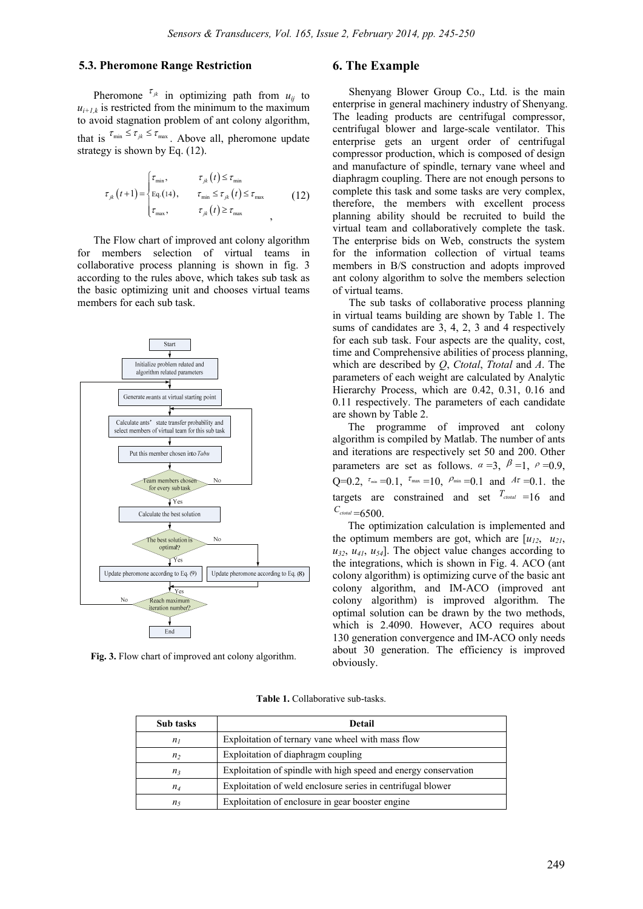#### **5.3. Pheromone Range Restriction**

Pheromone  $\tau_{jk}$  in optimizing path from  $u_{ij}$  to  $u_{i+1,k}$  is restricted from the minimum to the maximum to avoid stagnation problem of ant colony algorithm, that is  $\tau_{\min} \leq \tau_{jk} \leq \tau_{\max}$ . Above all, pheromone update strategy is shown by Eq. (12).

$$
\tau_{jk}(t+1) = \begin{cases} \tau_{\min}, & \tau_{jk}(t) \le \tau_{\min} \\ \text{Eq. (14),} & \tau_{\min} \le \tau_{jk}(t) \le \tau_{\max} \\ \tau_{\max}, & \tau_{jk}(t) \ge \tau_{\max} \end{cases}
$$
 (12)

The Flow chart of improved ant colony algorithm for members selection of virtual teams in collaborative process planning is shown in fig. 3 according to the rules above, which takes sub task as the basic optimizing unit and chooses virtual teams members for each sub task.



**Fig. 3.** Flow chart of improved ant colony algorithm.

### **6. The Example**

Shenyang Blower Group Co., Ltd. is the main enterprise in general machinery industry of Shenyang. The leading products are centrifugal compressor, centrifugal blower and large-scale ventilator. This enterprise gets an urgent order of centrifugal compressor production, which is composed of design and manufacture of spindle, ternary vane wheel and diaphragm coupling. There are not enough persons to complete this task and some tasks are very complex, therefore, the members with excellent process planning ability should be recruited to build the virtual team and collaboratively complete the task. The enterprise bids on Web, constructs the system for the information collection of virtual teams members in B/S construction and adopts improved ant colony algorithm to solve the members selection of virtual teams.

The sub tasks of collaborative process planning in virtual teams building are shown by Table 1. The sums of candidates are 3, 4, 2, 3 and 4 respectively for each sub task. Four aspects are the quality, cost, time and Comprehensive abilities of process planning, which are described by *Q*, *Ctotal*, *Ttotal* and *A*. The parameters of each weight are calculated by Analytic Hierarchy Process, which are 0.42, 0.31, 0.16 and 0.11 respectively. The parameters of each candidate are shown by Table 2.

The programme of improved ant colony algorithm is compiled by Matlab. The number of ants and iterations are respectively set 50 and 200. Other parameters are set as follows.  $\alpha = 3$ ,  $\beta = 1$ ,  $\rho = 0.9$ ,  $Q=0.2$ ,  $\tau_{\min} =0.1$ ,  $\tau_{\max} =10$ ,  $\rho_{\min} =0.1$  and  $A\tau =0.1$ , the targets are constrained and set  $T_{\text{total}} = 16$  and  $C_{\text{total}} = 6500$ .

The optimization calculation is implemented and the optimum members are got, which are  $[u_{12}, u_{21}]$ ,  $u_3$ ,  $u_4$ ,  $u_5$ ,  $u_6$ . The object value changes according to the integrations, which is shown in Fig. 4. ACO (ant colony algorithm) is optimizing curve of the basic ant colony algorithm, and IM-ACO (improved ant colony algorithm) is improved algorithm. The optimal solution can be drawn by the two methods, which is 2.4090. However, ACO requires about 130 generation convergence and IM-ACO only needs about 30 generation. The efficiency is improved obviously.

|  |  |  | <b>Table 1.</b> Collaborative sub-tasks. |  |
|--|--|--|------------------------------------------|--|
|--|--|--|------------------------------------------|--|

| Sub tasks      | <b>Detail</b>                                                   |  |  |  |  |
|----------------|-----------------------------------------------------------------|--|--|--|--|
| $n_I$          | Exploitation of ternary vane wheel with mass flow               |  |  |  |  |
| n <sub>2</sub> | Exploitation of diaphragm coupling                              |  |  |  |  |
| $n_3$          | Exploitation of spindle with high speed and energy conservation |  |  |  |  |
| $n_4$          | Exploitation of weld enclosure series in centrifugal blower     |  |  |  |  |
| n <sub>5</sub> | Exploitation of enclosure in gear booster engine                |  |  |  |  |